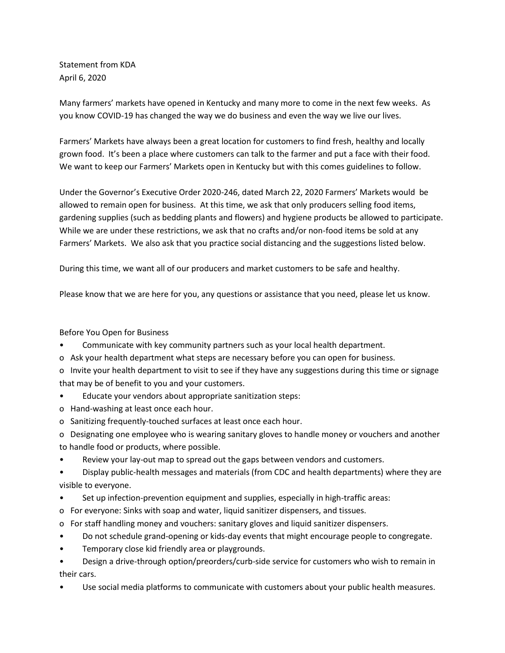Statement from KDA April 6, 2020

Many farmers' markets have opened in Kentucky and many more to come in the next few weeks. As you know COVID-19 has changed the way we do business and even the way we live our lives.

Farmers' Markets have always been a great location for customers to find fresh, healthy and locally grown food. It's been a place where customers can talk to the farmer and put a face with their food. We want to keep our Farmers' Markets open in Kentucky but with this comes guidelines to follow.

Under the Governor's Executive Order 2020-246, dated March 22, 2020 Farmers' Markets would be allowed to remain open for business. At this time, we ask that only producers selling food items, gardening supplies (such as bedding plants and flowers) and hygiene products be allowed to participate. While we are under these restrictions, we ask that no crafts and/or non-food items be sold at any Farmers' Markets. We also ask that you practice social distancing and the suggestions listed below.

During this time, we want all of our producers and market customers to be safe and healthy.

Please know that we are here for you, any questions or assistance that you need, please let us know.

## Before You Open for Business

- Communicate with key community partners such as your local health department.
- o Ask your health department what steps are necessary before you can open for business.
- o Invite your health department to visit to see if they have any suggestions during this time or signage that may be of benefit to you and your customers.
- Educate your vendors about appropriate sanitization steps:
- o Hand-washing at least once each hour.
- o Sanitizing frequently-touched surfaces at least once each hour.
- o Designating one employee who is wearing sanitary gloves to handle money or vouchers and another to handle food or products, where possible.
- Review your lay-out map to spread out the gaps between vendors and customers.
- Display public-health messages and materials (from CDC and health departments) where they are visible to everyone.
- Set up infection-prevention equipment and supplies, especially in high-traffic areas:
- o For everyone: Sinks with soap and water, liquid sanitizer dispensers, and tissues.
- o For staff handling money and vouchers: sanitary gloves and liquid sanitizer dispensers.
- Do not schedule grand-opening or kids-day events that might encourage people to congregate.
- Temporary close kid friendly area or playgrounds.
- Design a drive-through option/preorders/curb-side service for customers who wish to remain in their cars.
- Use social media platforms to communicate with customers about your public health measures.